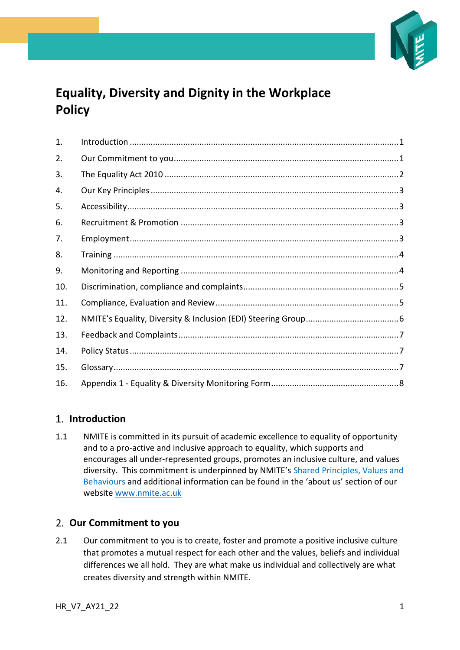

# **Equality, Diversity and Dignity in the Workplace Policy**

| 1.  |  |
|-----|--|
| 2.  |  |
| 3.  |  |
| 4.  |  |
| 5.  |  |
| 6.  |  |
| 7.  |  |
| 8.  |  |
| 9.  |  |
| 10. |  |
| 11. |  |
| 12. |  |
| 13. |  |
| 14. |  |
| 15. |  |
| 16. |  |

## <span id="page-0-0"></span>**Introduction**

1.1 NMITE is committed in its pursuit of academic excellence to equality of opportunity and to a pro-active and inclusive approach to equality, which supports and encourages all under-represented groups, promotes an inclusive culture, and values diversity. This commitment is underpinned by NMITE's Shared Principles, Values and Behaviours and additional information can be found in the 'about us' section of our website [www.nmite.ac.uk](http://www.nmite.ac.uk/)

## <span id="page-0-1"></span>**Our Commitment to you**

2.1 Our commitment to you is to create, foster and promote a positive inclusive culture that promotes a mutual respect for each other and the values, beliefs and individual differences we all hold. They are what make us individual and collectively are what creates diversity and strength within NMITE.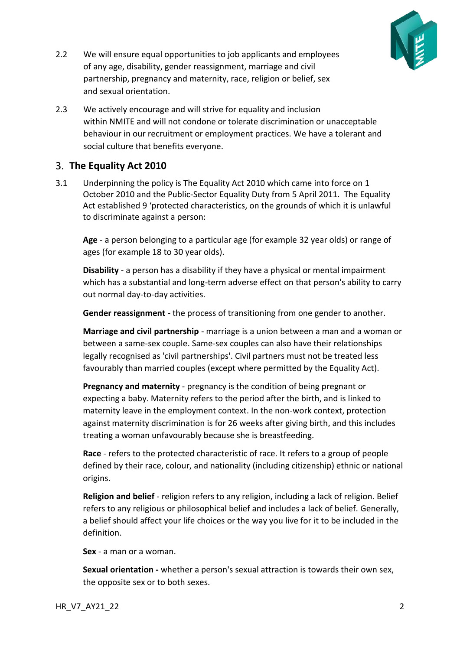

- 2.2 We will ensure equal opportunities to job applicants and employees of any age, disability, gender reassignment, marriage and civil partnership, pregnancy and maternity, race, religion or belief, sex and sexual orientation.
- 2.3 We actively encourage and will strive for equality and inclusion within NMITE and will not condone or tolerate discrimination or unacceptable behaviour in our recruitment or employment practices. We have a tolerant and social culture that benefits everyone.

### <span id="page-1-0"></span>**The Equality Act 2010**

3.1 Underpinning the policy is The Equality Act 2010 which came into force on 1 October 2010 and the Public-Sector Equality Duty from 5 April 2011. The Equality Act established 9 'protected characteristics, on the grounds of which it is unlawful to discriminate against a person:

**Age** - a person belonging to a particular age (for example 32 year olds) or range of ages (for example 18 to 30 year olds).

**Disability** - a person has a disability if they have a physical or mental impairment which has a substantial and long-term adverse effect on that person's ability to carry out normal day-to-day activities.

**Gender reassignment** - the process of transitioning from one gender to another.

**Marriage and civil partnership** - marriage is a union between a man and a woman or between a same-sex couple. Same-sex couples can also have their relationships legally recognised as 'civil partnerships'. Civil partners must not be treated less favourably than married couples (except where permitted by the Equality Act).

**Pregnancy and maternity** - pregnancy is the condition of being pregnant or expecting a baby. Maternity refers to the period after the birth, and is linked to maternity leave in the employment context. In the non-work context, protection against maternity discrimination is for 26 weeks after giving birth, and this includes treating a woman unfavourably because she is breastfeeding.

**Race** - refers to the protected characteristic of race. It refers to a group of people defined by their race, colour, and nationality (including citizenship) ethnic or national origins.

**Religion and belief** - religion refers to any religion, including a lack of religion. Belief refers to any religious or philosophical belief and includes a lack of belief. Generally, a belief should affect your life choices or the way you live for it to be included in the definition.

**Sex** - a man or a woman.

**Sexual orientation -** whether a person's sexual attraction is towards their own sex, the opposite sex or to both sexes.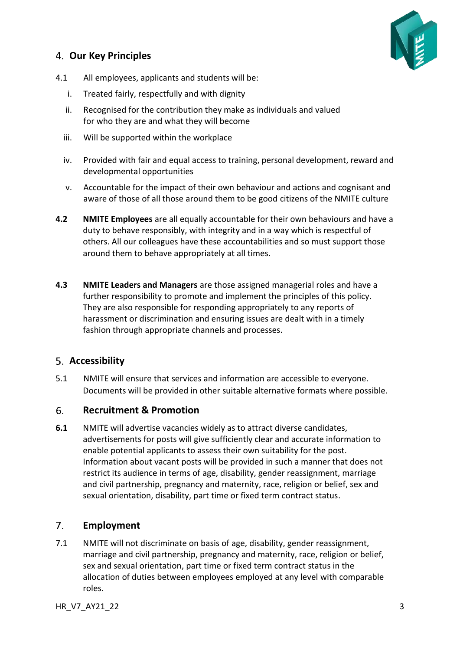## <span id="page-2-0"></span>**Our Key Principles**



- 4.1 All employees, applicants and students will be:
	- i. Treated fairly, respectfully and with dignity
	- ii. Recognised for the contribution they make as individuals and valued for who they are and what they will become
	- iii. Will be supported within the workplace
	- iv. Provided with fair and equal access to training, personal development, reward and developmental opportunities
	- v. Accountable for the impact of their own behaviour and actions and cognisant and aware of those of all those around them to be good citizens of the NMITE culture
- **4.2 NMITE Employees** are all equally accountable for their own behaviours and have a duty to behave responsibly, with integrity and in a way which is respectful of others. All our colleagues have these accountabilities and so must support those around them to behave appropriately at all times.
- **4.3 NMITE Leaders and Managers** are those assigned managerial roles and have a further responsibility to promote and implement the principles of this policy. They are also responsible for responding appropriately to any reports of harassment or discrimination and ensuring issues are dealt with in a timely fashion through appropriate channels and processes.

## <span id="page-2-1"></span>**Accessibility**

5.1 NMITE will ensure that services and information are accessible to everyone. Documents will be provided in other suitable alternative formats where possible.

#### <span id="page-2-2"></span>6. **Recruitment & Promotion**

**6.1** NMITE will advertise vacancies widely as to attract diverse candidates, advertisements for posts will give sufficiently clear and accurate information to enable potential applicants to assess their own suitability for the post. Information about vacant posts will be provided in such a manner that does not restrict its audience in terms of age, disability, gender reassignment, marriage and civil partnership, pregnancy and maternity, race, religion or belief, sex and sexual orientation, disability, part time or fixed term contract status.

#### <span id="page-2-3"></span> $7.$ **Employment**

7.1 NMITE will not discriminate on basis of age, disability, gender reassignment, marriage and civil partnership, pregnancy and maternity, race, religion or belief, sex and sexual orientation, part time or fixed term contract status in the allocation of duties between employees employed at any level with comparable roles.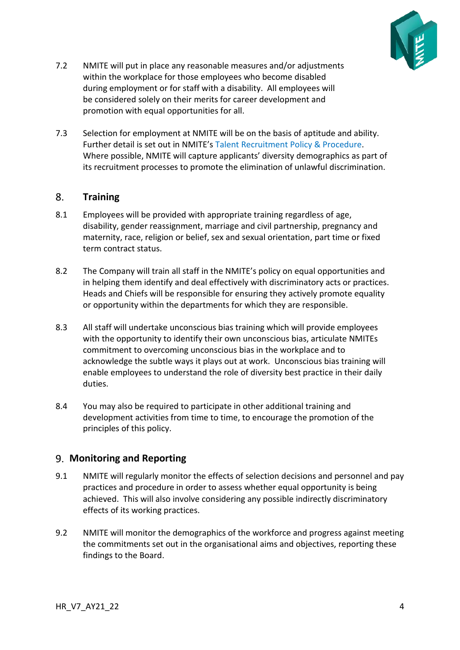

- 7.2 NMITE will put in place any reasonable measures and/or adjustments within the workplace for those employees who become disabled during employment or for staff with a disability. All employees will be considered solely on their merits for career development and promotion with equal opportunities for all.
- 7.3 Selection for employment at NMITE will be on the basis of aptitude and ability. Further detail is set out in NMITE's Talent Recruitment Policy & Procedure. Where possible, NMITE will capture applicants' diversity demographics as part of its recruitment processes to promote the elimination of unlawful discrimination.

#### <span id="page-3-0"></span> $8.$ **Training**

- 8.1 Employees will be provided with appropriate training regardless of age, disability, gender reassignment, marriage and civil partnership, pregnancy and maternity, race, religion or belief, sex and sexual orientation, part time or fixed term contract status.
- 8.2 The Company will train all staff in the NMITE's policy on equal opportunities and in helping them identify and deal effectively with discriminatory acts or practices. Heads and Chiefs will be responsible for ensuring they actively promote equality or opportunity within the departments for which they are responsible.
- 8.3 All staff will undertake unconscious bias training which will provide employees with the opportunity to identify their own unconscious bias, articulate NMITEs commitment to overcoming unconscious bias in the workplace and to acknowledge the subtle ways it plays out at work. Unconscious bias training will enable employees to understand the role of diversity best practice in their daily duties.
- 8.4 You may also be required to participate in other additional training and development activities from time to time, to encourage the promotion of the principles of this policy.

### <span id="page-3-1"></span>**Monitoring and Reporting**

- 9.1 NMITE will regularly monitor the effects of selection decisions and personnel and pay practices and procedure in order to assess whether equal opportunity is being achieved. This will also involve considering any possible indirectly discriminatory effects of its working practices.
- 9.2 NMITE will monitor the demographics of the workforce and progress against meeting the commitments set out in the organisational aims and objectives, reporting these findings to the Board.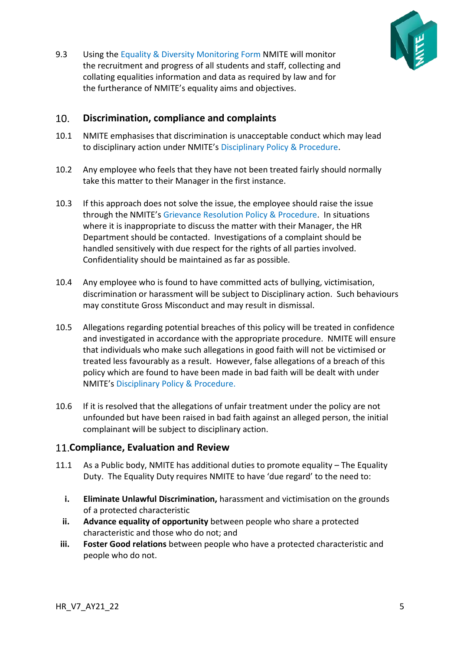

9.3 Using the Equality & Diversity Monitoring Form NMITE will monitor the recruitment and progress of all students and staff, collecting and collating equalities information and data as required by law and for the furtherance of NMITE's equality aims and objectives.

#### <span id="page-4-0"></span> $10.$ **Discrimination, compliance and complaints**

- 10.1 NMITE emphasises that discrimination is unacceptable conduct which may lead to disciplinary action under NMITE's Disciplinary Policy & Procedure.
- 10.2 Any employee who feels that they have not been treated fairly should normally take this matter to their Manager in the first instance.
- 10.3 If this approach does not solve the issue, the employee should raise the issue through the NMITE's Grievance Resolution Policy & Procedure. In situations where it is inappropriate to discuss the matter with their Manager, the HR Department should be contacted. Investigations of a complaint should be handled sensitively with due respect for the rights of all parties involved. Confidentiality should be maintained as far as possible.
- 10.4 Any employee who is found to have committed acts of bullying, victimisation, discrimination or harassment will be subject to Disciplinary action. Such behaviours may constitute Gross Misconduct and may result in dismissal.
- 10.5 Allegations regarding potential breaches of this policy will be treated in confidence and investigated in accordance with the appropriate procedure. NMITE will ensure that individuals who make such allegations in good faith will not be victimised or treated less favourably as a result. However, false allegations of a breach of this policy which are found to have been made in bad faith will be dealt with under NMITE's Disciplinary Policy & Procedure.
- 10.6 If it is resolved that the allegations of unfair treatment under the policy are not unfounded but have been raised in bad faith against an alleged person, the initial complainant will be subject to disciplinary action.

### <span id="page-4-1"></span>**Compliance, Evaluation and Review**

- 11.1 As a Public body, NMITE has additional duties to promote equality The Equality Duty. The Equality Duty requires NMITE to have 'due regard' to the need to:
	- **i. Eliminate Unlawful Discrimination,** harassment and victimisation on the grounds of a protected characteristic
	- **ii. Advance equality of opportunity** between people who share a protected characteristic and those who do not; and
	- **iii. Foster Good relations** between people who have a protected characteristic and people who do not.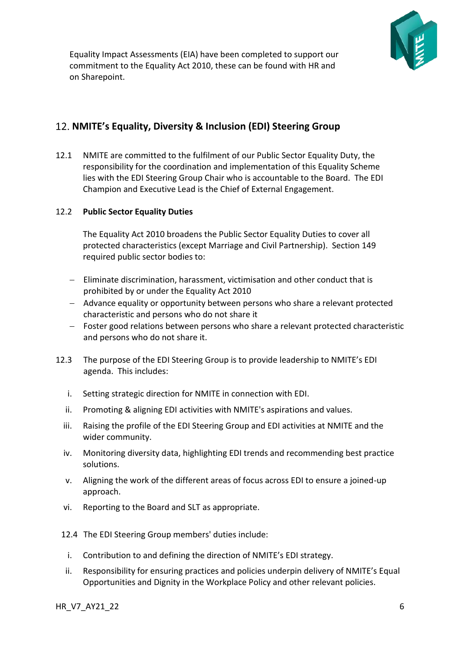

Equality Impact Assessments (EIA) have been completed to support our commitment to the Equality Act 2010, these can be found with HR and on Sharepoint.

## <span id="page-5-0"></span>**NMITE's Equality, Diversity & Inclusion (EDI) Steering Group**

12.1 NMITE are committed to the fulfilment of our Public Sector Equality Duty, the responsibility for the coordination and implementation of this Equality Scheme lies with the EDI Steering Group Chair who is accountable to the Board. The EDI Champion and Executive Lead is the Chief of External Engagement.

#### 12.2 **Public Sector Equality Duties**

The Equality Act 2010 broadens the Public Sector Equality Duties to cover all protected characteristics (except Marriage and Civil Partnership). Section 149 required public sector bodies to:

- − Eliminate discrimination, harassment, victimisation and other conduct that is prohibited by or under the Equality Act 2010
- − Advance equality or opportunity between persons who share a relevant protected characteristic and persons who do not share it
- − Foster good relations between persons who share a relevant protected characteristic and persons who do not share it.
- 12.3 The purpose of the EDI Steering Group is to provide leadership to NMITE's EDI agenda. This includes:
	- i. Setting strategic direction for NMITE in connection with EDI.
	- ii. Promoting & aligning EDI activities with NMITE's aspirations and values.
	- iii. Raising the profile of the EDI Steering Group and EDI activities at NMITE and the wider community.
	- iv. Monitoring diversity data, highlighting EDI trends and recommending best practice solutions.
	- v. Aligning the work of the different areas of focus across EDI to ensure a joined-up approach.
	- vi. Reporting to the Board and SLT as appropriate.
	- 12.4 The EDI Steering Group members' duties include:
	- i. Contribution to and defining the direction of NMITE's EDI strategy.
	- ii. Responsibility for ensuring practices and policies underpin delivery of NMITE's Equal Opportunities and Dignity in the Workplace Policy and other relevant policies.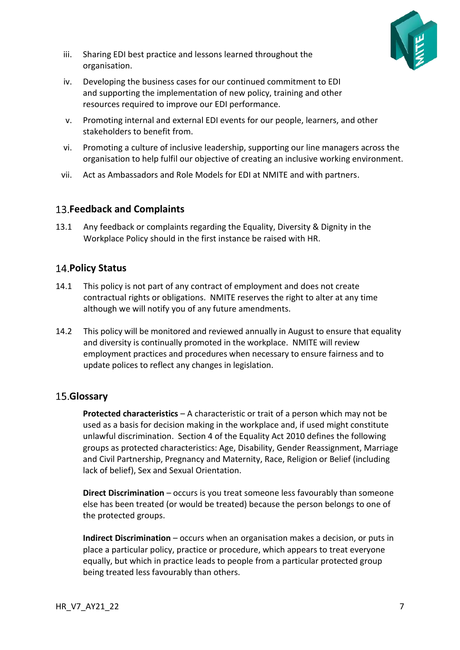

- iii. Sharing EDI best practice and lessons learned throughout the organisation.
- iv. Developing the business cases for our continued commitment to EDI and supporting the implementation of new policy, training and other resources required to improve our EDI performance.
- v. Promoting internal and external EDI events for our people, learners, and other stakeholders to benefit from.
- vi. Promoting a culture of inclusive leadership, supporting our line managers across the organisation to help fulfil our objective of creating an inclusive working environment.
- vii. Act as Ambassadors and Role Models for EDI at NMITE and with partners.

### <span id="page-6-0"></span>**Feedback and Complaints**

13.1 Any feedback or complaints regarding the Equality, Diversity & Dignity in the Workplace Policy should in the first instance be raised with HR.

### <span id="page-6-1"></span>**14. Policy Status**

- 14.1 This policy is not part of any contract of employment and does not create contractual rights or obligations. NMITE reserves the right to alter at any time although we will notify you of any future amendments.
- 14.2 This policy will be monitored and reviewed annually in August to ensure that equality and diversity is continually promoted in the workplace. NMITE will review employment practices and procedures when necessary to ensure fairness and to update polices to reflect any changes in legislation.

## <span id="page-6-2"></span>**Glossary**

**Protected characteristics** – A characteristic or trait of a person which may not be used as a basis for decision making in the workplace and, if used might constitute unlawful discrimination. Section 4 of the Equality Act 2010 defines the following groups as protected characteristics: Age, Disability, Gender Reassignment, Marriage and Civil Partnership, Pregnancy and Maternity, Race, Religion or Belief (including lack of belief), Sex and Sexual Orientation.

**Direct Discrimination** – occurs is you treat someone less favourably than someone else has been treated (or would be treated) because the person belongs to one of the protected groups.

**Indirect Discrimination** – occurs when an organisation makes a decision, or puts in place a particular policy, practice or procedure, which appears to treat everyone equally, but which in practice leads to people from a particular protected group being treated less favourably than others.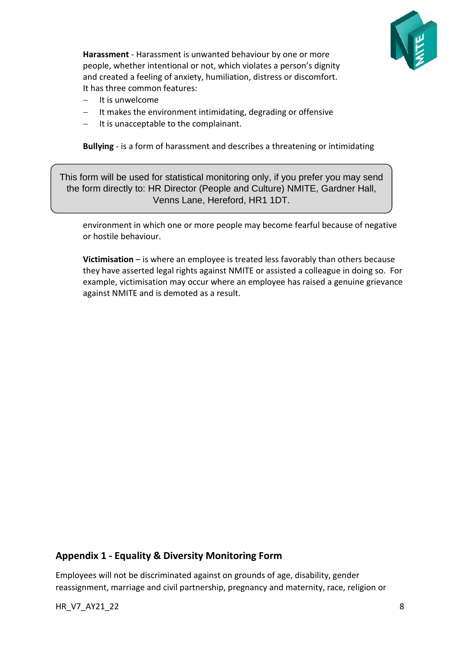

**Harassment** - Harassment is unwanted behaviour by one or more people, whether intentional or not, which violates a person's dignity and created a feeling of anxiety, humiliation, distress or discomfort. It has three common features:

- − It is unwelcome
- It makes the environment intimidating, degrading or offensive
- − It is unacceptable to the complainant.

**Bullying** - is a form of harassment and describes a threatening or intimidating

This form will be used for statistical monitoring only, if you prefer you may send the form directly to: HR Director (People and Culture) NMITE, Gardner Hall, Venns Lane, Hereford, HR1 1DT.

environment in which one or more people may become fearful because of negative or hostile behaviour.

**Victimisation** – is where an employee is treated less favorably than others because they have asserted legal rights against NMITE or assisted a colleague in doing so. For example, victimisation may occur where an employee has raised a genuine grievance against NMITE and is demoted as a result.

### <span id="page-7-0"></span>**Appendix 1 - Equality & Diversity Monitoring Form**

Employees will not be discriminated against on grounds of age, disability, gender reassignment, marriage and civil partnership, pregnancy and maternity, race, religion or

HR\_V7\_AY21\_22 8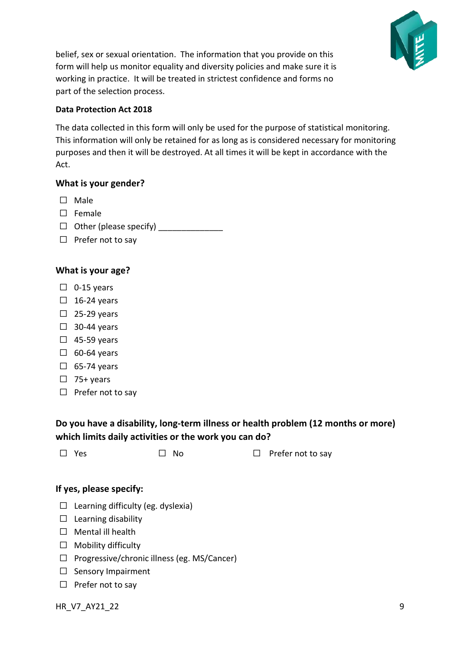

belief, sex or sexual orientation. The information that you provide on this form will help us monitor equality and diversity policies and make sure it is working in practice. It will be treated in strictest confidence and forms no part of the selection process.

#### **Data Protection Act 2018**

The data collected in this form will only be used for the purpose of statistical monitoring. This information will only be retained for as long as is considered necessary for monitoring purposes and then it will be destroyed. At all times it will be kept in accordance with the Act.

#### **What is your gender?**

- ☐ Male
- ☐ Female
- $\Box$  Other (please specify)
- □ Prefer not to say

### **What is your age?**

- $\Box$  0-15 years
- $\square$  16-24 years
- $\square$  25-29 years
- $\square$  30-44 years
- $\Box$  45-59 years
- $\square$  60-64 years
- $\square$  65-74 years
- $\Box$  75+ years
- □ Prefer not to say

## **Do you have a disability, long-term illness or health problem (12 months or more) which limits daily activities or the work you can do?**

| $\square$ Yes | $\Box$ No | $\Box$ Prefer not to say |
|---------------|-----------|--------------------------|
|               |           |                          |

#### **If yes, please specify:**

- $\Box$  Learning difficulty (eg. dyslexia)
- ☐ Learning disability
- □ Mental ill health
- ☐ Mobility difficulty
- ☐ Progressive/chronic illness (eg. MS/Cancer)
- □ Sensory Impairment
- □ Prefer not to say

HR\_V7\_AY21\_22 9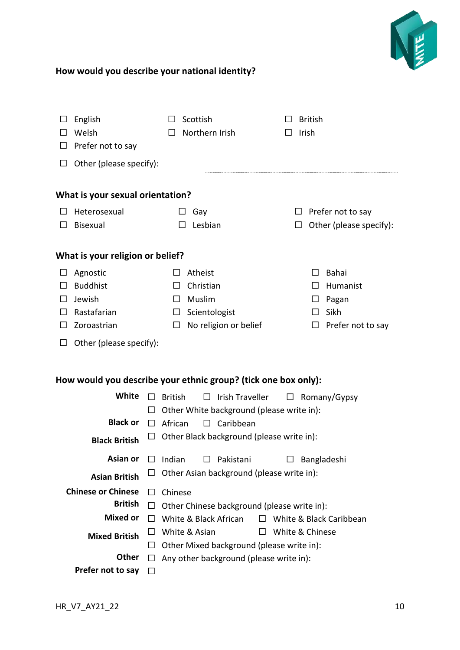

## **How would you describe your national identity?**

| ⊔                                                                                                              | English<br>Welsh<br>Prefer not to say<br>Other (please specify):                       |                                                         | Scottish<br>Northern Irish                                                                                                                                                                 |             | <b>British</b><br>Irish       |                                                         |  |  |  |  |  |
|----------------------------------------------------------------------------------------------------------------|----------------------------------------------------------------------------------------|---------------------------------------------------------|--------------------------------------------------------------------------------------------------------------------------------------------------------------------------------------------|-------------|-------------------------------|---------------------------------------------------------|--|--|--|--|--|
| What is your sexual orientation?                                                                               |                                                                                        |                                                         |                                                                                                                                                                                            |             |                               |                                                         |  |  |  |  |  |
| $\mathsf{L}$                                                                                                   | Heterosexual<br>Bisexual                                                               | $\mathsf{L}$                                            | Gay<br>Lesbian                                                                                                                                                                             | $\Box$<br>⊔ |                               | Prefer not to say<br>Other (please specify):            |  |  |  |  |  |
| What is your religion or belief?                                                                               |                                                                                        |                                                         |                                                                                                                                                                                            |             |                               |                                                         |  |  |  |  |  |
| Agnostic<br><b>Buddhist</b><br>Jewish<br>Rastafarian<br>Zoroastrian<br>$\perp$<br>Other (please specify):<br>ப |                                                                                        | ΙI<br>$\Box$<br>$\Box$<br>$\Box$                        | Atheist<br>Christian<br>Muslim<br>Scientologist<br>No religion or belief                                                                                                                   |             | ΙI<br>ப<br>ΙI<br>$\mathsf{L}$ | Bahai<br>Humanist<br>Pagan<br>Sikh<br>Prefer not to say |  |  |  |  |  |
| How would you describe your ethnic group? (tick one box only):                                                 |                                                                                        |                                                         |                                                                                                                                                                                            |             |                               |                                                         |  |  |  |  |  |
|                                                                                                                | White<br><b>Black or</b><br><b>Black British</b>                                       | <b>British</b><br>$\Box$<br>ப<br>African<br>$\Box$<br>⊔ | Irish Traveller<br>$\Box$<br>$\Box$ Romany/Gypsy<br>Other White background (please write in):<br>$\Box$ Caribbean<br>Other Black background (please write in):                             |             |                               |                                                         |  |  |  |  |  |
|                                                                                                                | Asian or<br><b>Asian British</b>                                                       | Indian                                                  | Pakistani<br>Other Asian background (please write in):                                                                                                                                     |             | Bangladeshi                   |                                                         |  |  |  |  |  |
|                                                                                                                | <b>Chinese or Chinese</b><br><b>British</b><br><b>Mixed or</b><br><b>Mixed British</b> | Chinese<br>LΙ<br>$\Box$<br>$\perp$                      | Other Chinese background (please write in):<br>White & Black African<br>White & Black Caribbean<br>$\Box$<br>White & Asian<br>White & Chinese<br>Other Mixed background (please write in): |             |                               |                                                         |  |  |  |  |  |
|                                                                                                                | Other<br>Prefer not to say                                                             | $\perp$<br>$\perp$                                      | Any other background (please write in):                                                                                                                                                    |             |                               |                                                         |  |  |  |  |  |